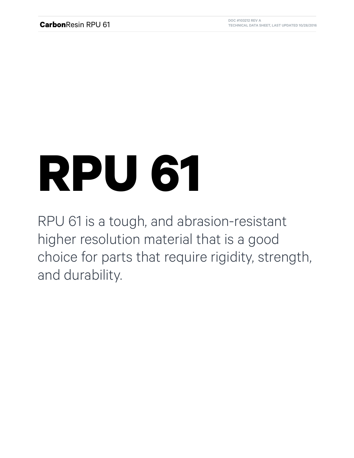## **RPU 61**

RPU 61 is a tough, and abrasion-resistant higher resolution material that is a good choice for parts that require rigidity, strength, and durability.